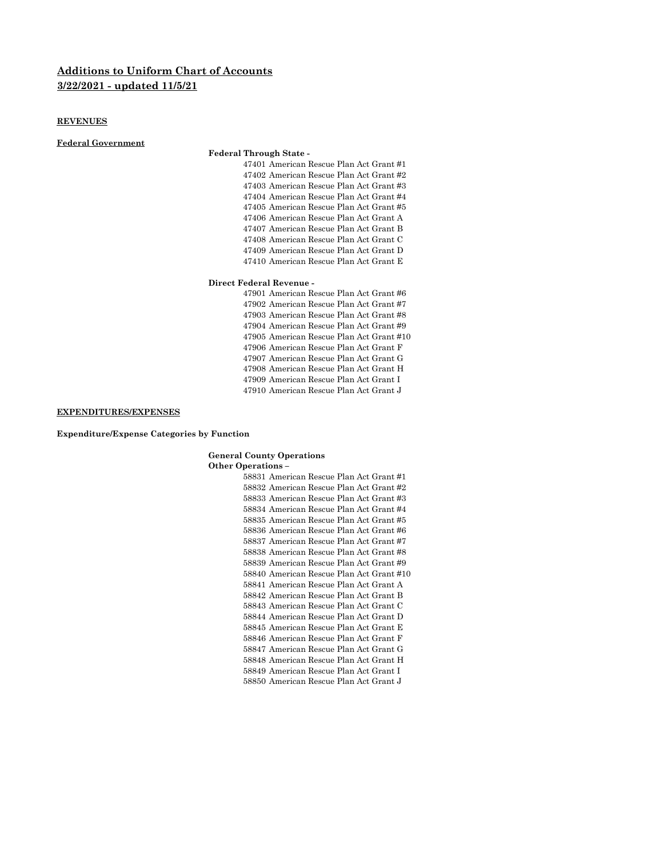# **Additions to Uniform Chart of Accounts 3/22/2021 - updated 11/5/21**

### **REVENUES**

**Federal Government**

#### **Federal Through State -**

- American Rescue Plan Act Grant #1 American Rescue Plan Act Grant #2 American Rescue Plan Act Grant #3
- American Rescue Plan Act Grant #4
- American Rescue Plan Act Grant #5
- American Rescue Plan Act Grant A
- American Rescue Plan Act Grant B
- American Rescue Plan Act Grant C
- American Rescue Plan Act Grant D
- American Rescue Plan Act Grant E

#### **Direct Federal Revenue -**

 American Rescue Plan Act Grant #6 American Rescue Plan Act Grant #7 American Rescue Plan Act Grant #8 American Rescue Plan Act Grant #9 American Rescue Plan Act Grant #10 American Rescue Plan Act Grant F American Rescue Plan Act Grant G American Rescue Plan Act Grant H American Rescue Plan Act Grant I American Rescue Plan Act Grant J

#### **EXPENDITURES/EXPENSES**

**Expenditure/Expense Categories by Function**

**General County Operations**

**Other Operations –** 

 American Rescue Plan Act Grant #1 American Rescue Plan Act Grant #2 American Rescue Plan Act Grant #3 American Rescue Plan Act Grant #4 American Rescue Plan Act Grant #5 American Rescue Plan Act Grant #6 American Rescue Plan Act Grant #7 American Rescue Plan Act Grant #8 American Rescue Plan Act Grant #9 American Rescue Plan Act Grant #10 American Rescue Plan Act Grant A American Rescue Plan Act Grant B American Rescue Plan Act Grant C American Rescue Plan Act Grant D American Rescue Plan Act Grant E American Rescue Plan Act Grant F American Rescue Plan Act Grant G American Rescue Plan Act Grant H American Rescue Plan Act Grant I American Rescue Plan Act Grant J